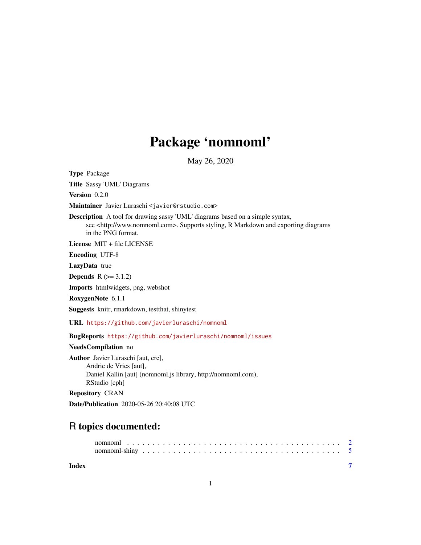# Package 'nomnoml'

May 26, 2020

Type Package

Title Sassy 'UML' Diagrams

Version 0.2.0

Maintainer Javier Luraschi <javier@rstudio.com>

Description A tool for drawing sassy 'UML' diagrams based on a simple syntax, see <http://www.nomnoml.com>. Supports styling, R Markdown and exporting diagrams in the PNG format.

License MIT + file LICENSE

Encoding UTF-8

LazyData true

**Depends**  $R$  ( $>= 3.1.2$ )

Imports htmlwidgets, png, webshot

RoxygenNote 6.1.1

Suggests knitr, rmarkdown, testthat, shinytest

URL <https://github.com/javierluraschi/nomnoml>

BugReports <https://github.com/javierluraschi/nomnoml/issues>

NeedsCompilation no

Author Javier Luraschi [aut, cre], Andrie de Vries [aut], Daniel Kallin [aut] (nomnoml.js library, http://nomnoml.com), RStudio [cph]

Repository CRAN

Date/Publication 2020-05-26 20:40:08 UTC

# R topics documented:

#### **Index** [7](#page-6-0) **7**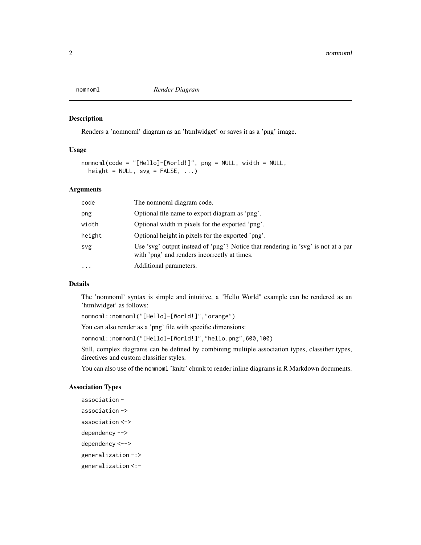<span id="page-1-0"></span>

#### Description

Renders a 'nomnoml' diagram as an 'htmlwidget' or saves it as a 'png' image.

#### Usage

```
nomnoml(code = "[Hello]-[World!]", png = NULL, width = NULL,
 height = NULL, svg = FALSE, ...)
```
#### Arguments

| code     | The nomnoml diagram code.                                                                                                         |
|----------|-----------------------------------------------------------------------------------------------------------------------------------|
| png      | Optional file name to export diagram as 'png'.                                                                                    |
| width    | Optional width in pixels for the exported 'png'.                                                                                  |
| height   | Optional height in pixels for the exported 'png'.                                                                                 |
| svg      | Use 'svg' output instead of 'png'? Notice that rendering in 'svg' is not at a par<br>with 'png' and renders incorrectly at times. |
| $\cdots$ | Additional parameters.                                                                                                            |

#### Details

The 'nomnoml' syntax is simple and intuitive, a "Hello World" example can be rendered as an 'htmlwidget' as follows:

nomnoml::nomnoml("[Hello]-[World!]","orange")

You can also render as a 'png' file with specific dimensions:

nomnoml::nomnoml("[Hello]-[World!]","hello.png",600,100)

Still, complex diagrams can be defined by combining multiple association types, classifier types, directives and custom classifier styles.

You can also use of the nomnoml 'knitr' chunk to render inline diagrams in R Markdown documents.

#### Association Types

```
association -
association ->
association <->
dependency -->
dependency <-->
generalization -:>
generalization <:-
```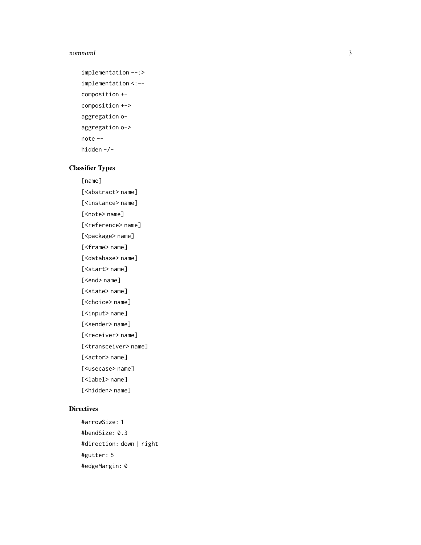#### nomnoml

```
implementation --:>
implementation <:--
composition +-
composition +->
aggregation o-
aggregation o->
note --
hidden -/-
```
### Classifier Types

[name]

[<abstract> name]

[<instance> name]

[<note> name]

[<reference> name]

[<package> name]

[<frame> name] [<database> name]

[<start> name]

[<end> name]

[<state> name]

[<choice> name]

[<input> name]

[<sender> name]

[<receiver> name]

[<transceiver> name]

[<actor> name]

[<usecase> name]

[<label> name]

[<hidden> name]

#### **Directives**

#arrowSize: 1 #bendSize: 0.3 #direction: down | right #gutter: 5 #edgeMargin: 0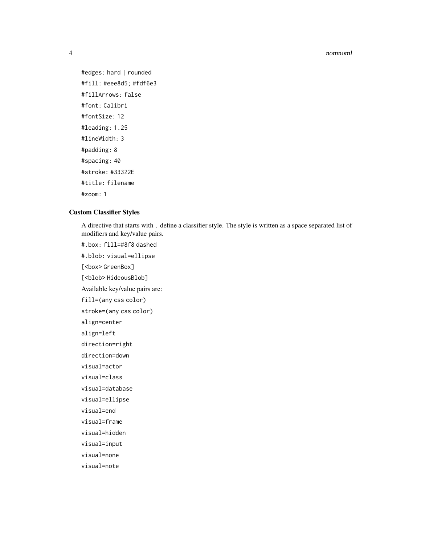#### 4 nomnoml

#edges: hard | rounded #fill: #eee8d5; #fdf6e3 #fillArrows: false #font: Calibri #fontSize: 12 #leading: 1.25 #lineWidth: 3 #padding: 8 #spacing: 40 #stroke: #33322E #title: filename

#zoom: 1

#### Custom Classifier Styles

#.box: fill=#8f8 dashed

A directive that starts with . define a classifier style. The style is written as a space separated list of modifiers and key/value pairs.

#.blob: visual=ellipse [<box>GreenBox] [<blob> HideousBlob] Available key/value pairs are: fill=(any css color) stroke=(any css color) align=center align=left direction=right direction=down visual=actor visual=class visual=database visual=ellipse visual=end visual=frame visual=hidden visual=input visual=none visual=note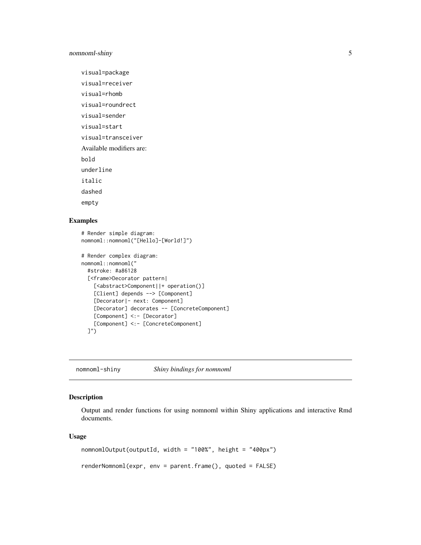#### <span id="page-4-0"></span>nomnoml-shiny 5

visual=package

visual=receiver

visual=rhomb

visual=roundrect

visual=sender

visual=start

visual=transceiver

Available modifiers are:

bold

underline

italic

dashed

empty

#### Examples

```
# Render simple diagram:
nomnoml::nomnoml("[Hello]-[World!]")
# Render complex diagram:
nomnoml::nomnoml("
  #stroke: #a86128
  [<frame>Decorator pattern|
    [<abstract>Component||+ operation()]
   [Client] depends --> [Component]
    [Decorator|- next: Component]
    [Decorator] decorates -- [ConcreteComponent]
    [Component] <:- [Decorator]
    [Component] <:- [ConcreteComponent]
  ]")
```
nomnoml-shiny *Shiny bindings for nomnoml*

## Description

Output and render functions for using nomnoml within Shiny applications and interactive Rmd documents.

#### Usage

```
nomnomlOutput(outputId, width = "100%", height = "400px")
renderNomnoml(expr, env = parent.frame(), quoted = FALSE)
```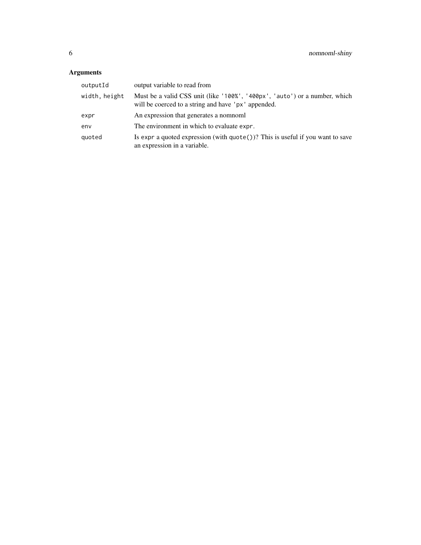# Arguments

| outputId      | output variable to read from                                                                                                      |
|---------------|-----------------------------------------------------------------------------------------------------------------------------------|
| width, height | Must be a valid CSS unit (like '100%', '400px', 'auto') or a number, which<br>will be coerced to a string and have 'px' appended. |
| expr          | An expression that generates a nomnoml                                                                                            |
| env           | The environment in which to evaluate expr.                                                                                        |
| quoted        | Is expr a quoted expression (with $\text{quote}()$ )? This is useful if you want to save<br>an expression in a variable.          |